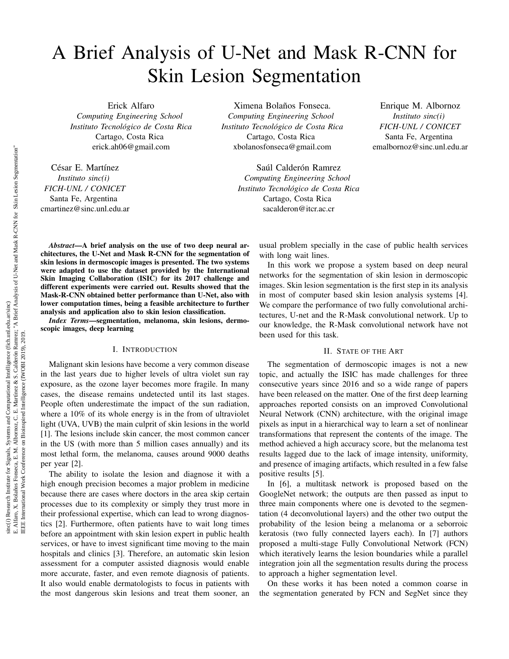# A Brief Analysis of U-Net and Mask R-CNN for Skin Lesion Segmentation

Erick Alfaro *Computing Engineering School Instituto Tecnologico de Costa Rica ´* Cartago, Costa Rica erick.ah06@gmail.com

César E. Martínez *Instituto sinc(i) FICH-UNL / CONICET* Santa Fe, Argentina cmartinez@sinc.unl.edu.ar

Ximena Bolaños Fonseca. *Computing Engineering School Instituto Tecnologico de Costa Rica ´* Cartago, Costa Rica xbolanosfonseca@gmail.com

> Saúl Calderón Ramrez *Computing Engineering School Instituto Tecnologico de Costa Rica ´* Cartago, Costa Rica sacalderon@itcr.ac.cr

Enrique M. Albornoz *Instituto sinc(i) FICH-UNL / CONICET* Santa Fe, Argentina emalbornoz@sinc.unl.edu.ar

*Abstract*—A brief analysis on the use of two deep neural architectures, the U-Net and Mask R-CNN for the segmentation of skin lesions in dermoscopic images is presented. The two systems were adapted to use the dataset provided by the International Skin Imaging Collaboration (ISIC) for its 2017 challenge and different experiments were carried out. Results showed that the Mask-R-CNN obtained better performance than U-Net, also with lower computation times, being a feasible architecture to further analysis and application also to skin lesion classification.

*Index Terms*—segmentation, melanoma, skin lesions, dermoscopic images, deep learning

## I. INTRODUCTION

Malignant skin lesions have become a very common disease in the last years due to higher levels of ultra violet sun ray exposure, as the ozone layer becomes more fragile. In many cases, the disease remains undetected until its last stages. People often underestimate the impact of the sun radiation, where a 10% of its whole energy is in the from of ultraviolet light (UVA, UVB) the main culprit of skin lesions in the world [1]. The lesions include skin cancer, the most common cancer in the US (with more than 5 million cases annually) and its most lethal form, the melanoma, causes around 9000 deaths per year [2].

The ability to isolate the lesion and diagnose it with a high enough precision becomes a major problem in medicine because there are cases where doctors in the area skip certain processes due to its complexity or simply they trust more in their professional expertise, which can lead to wrong diagnostics [2]. Furthermore, often patients have to wait long times before an appointment with skin lesion expert in public health services, or have to invest significant time moving to the main hospitals and clinics [3]. Therefore, an automatic skin lesion assessment for a computer assisted diagnosis would enable more accurate, faster, and even remote diagnosis of patients. It also would enable dermatologists to focus in patients with the most dangerous skin lesions and treat them sooner, an

usual problem specially in the case of public health services with long wait lines.

In this work we propose a system based on deep neural networks for the segmentation of skin lesion in dermoscopic images. Skin lesion segmentation is the first step in its analysis in most of computer based skin lesion analysis systems [4]. We compare the performance of two fully convolutional architectures, U-net and the R-Mask convolutional network. Up to our knowledge, the R-Mask convolutional network have not been used for this task.

## II. STATE OF THE ART

The segmentation of dermoscopic images is not a new topic, and actually the ISIC has made challenges for three consecutive years since 2016 and so a wide range of papers have been released on the matter. One of the first deep learning approaches reported consists on an improved Convolutional Neural Network (CNN) architecture, with the original image pixels as input in a hierarchical way to learn a set of nonlinear transformations that represent the contents of the image. The method achieved a high accuracy score, but the melanoma test results lagged due to the lack of image intensity, uniformity, and presence of imaging artifacts, which resulted in a few false positive results [5].

In [6], a multitask network is proposed based on the GoogleNet network; the outputs are then passed as input to three main components where one is devoted to the segmentation (4 deconvolutional layers) and the other two output the probability of the lesion being a melanoma or a seborroic keratosis (two fully connected layers each). In [7] authors proposed a multi-stage Fully Convolutional Network (FCN) which iteratively learns the lesion boundaries while a parallel integration join all the segmentation results during the process to approach a higher segmentation level.

On these works it has been noted a common coarse in the segmentation generated by FCN and SegNet since they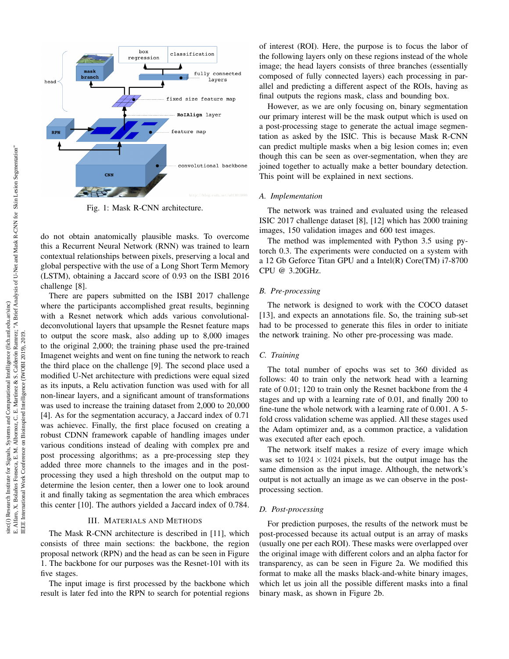

Fig. 1: Mask R-CNN architecture.

do not obtain anatomically plausible masks. To overcome this a Recurrent Neural Network (RNN) was trained to learn contextual relationships between pixels, preserving a local and global perspective with the use of a Long Short Term Memory (LSTM), obtaining a Jaccard score of 0.93 on the ISBI 2016 challenge [8].

There are papers submitted on the ISBI 2017 challenge where the participants accomplished great results, beginning with a Resnet network which adds various convolutionaldeconvolutional layers that upsample the Resnet feature maps to output the score mask, also adding up to 8,000 images to the original 2,000; the training phase used the pre-trained Imagenet weights and went on fine tuning the network to reach the third place on the challenge [9]. The second place used a modified U-Net architecture with predictions were equal sized as its inputs, a Relu activation function was used with for all non-linear layers, and a significant amount of transformations was used to increase the training dataset from 2,000 to 20,000 [4]. As for the segmentation accuracy, a Jaccard index of 0.71 was achievec. Finally, the first place focused on creating a robust CDNN framework capable of handling images under various conditions instead of dealing with complex pre and post processing algorithms; as a pre-processing step they added three more channels to the images and in the postprocessing they used a high threshold on the output map to determine the lesion center, then a lower one to look around it and finally taking as segmentation the area which embraces this center [10]. The authors yielded a Jaccard index of 0.784.

# III. MATERIALS AND METHODS

The Mask R-CNN architecture is described in [11], which consists of three main sections: the backbone, the region proposal network (RPN) and the head as can be seen in Figure 1. The backbone for our purposes was the Resnet-101 with its five stages.

The input image is first processed by the backbone which result is later fed into the RPN to search for potential regions

of interest (ROI). Here, the purpose is to focus the labor of the following layers only on these regions instead of the whole image; the head layers consists of three branches (essentially composed of fully connected layers) each processing in parallel and predicting a different aspect of the ROIs, having as final outputs the regions mask, class and bounding box.

However, as we are only focusing on, binary segmentation our primary interest will be the mask output which is used on a post-processing stage to generate the actual image segmentation as asked by the ISIC. This is because Mask R-CNN can predict multiple masks when a big lesion comes in; even though this can be seen as over-segmentation, when they are joined together to actually make a better boundary detection. This point will be explained in next sections.

# *A. Implementation*

The network was trained and evaluated using the released ISIC 2017 challenge dataset [8], [12] which has 2000 training images, 150 validation images and 600 test images.

The method was implemented with Python 3.5 using pytorch 0.3. The experiments were conducted on a system with a 12 Gb Geforce Titan GPU and a Intel(R) Core(TM) i7-8700 CPU @ 3.20GHz.

#### *B. Pre-processing*

The network is designed to work with the COCO dataset [13], and expects an annotations file. So, the training sub-set had to be processed to generate this files in order to initiate the network training. No other pre-processing was made.

### *C. Training*

The total number of epochs was set to 360 divided as follows: 40 to train only the network head with a learning rate of 0.01; 120 to train only the Resnet backbone from the 4 stages and up with a learning rate of 0.01, and finally 200 to fine-tune the whole network with a learning rate of 0.001. A 5 fold cross validation scheme was applied. All these stages used the Adam optimizer and, as a common practice, a validation was executed after each epoch.

The network itself makes a resize of every image which was set to  $1024 \times 1024$  pixels, but the output image has the same dimension as the input image. Although, the network's output is not actually an image as we can observe in the postprocessing section.

### *D. Post-processing*

For prediction purposes, the results of the network must be post-processed because its actual output is an array of masks (usually one per each ROI). These masks were overlapped over the original image with different colors and an alpha factor for transparency, as can be seen in Figure 2a. We modified this format to make all the masks black-and-white binary images, which let us join all the possible different masks into a final binary mask, as shown in Figure 2b.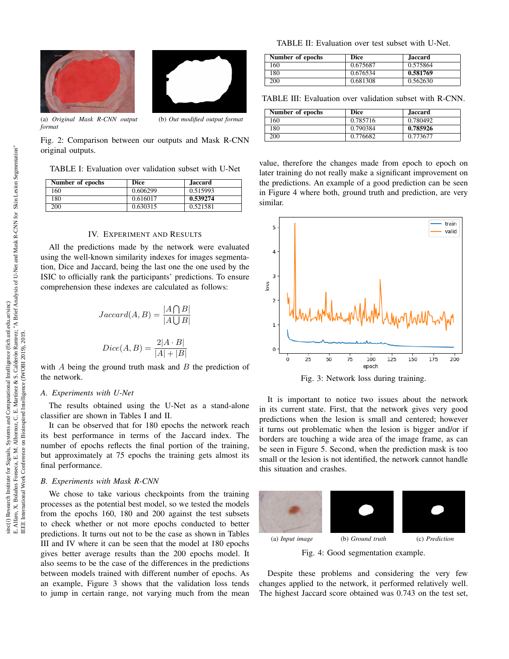



(a) *Original Mask R-CNN output format*

(b) *Out modified output format*

Fig. 2: Comparison between our outputs and Mask R-CNN original outputs.

TABLE I: Evaluation over validation subset with U-Net

| Number of epochs | Dice     | <b>Jaccard</b> |
|------------------|----------|----------------|
| 160              | 0.606299 | 0.515993       |
| 180              | 0.616017 | 0.539274       |
| <b>200</b>       | 0.630315 | 0.521581       |

#### IV. EXPERIMENT AND RESULTS

All the predictions made by the network were evaluated using the well-known similarity indexes for images segmentation, Dice and Jaccard, being the last one the one used by the ISIC to officially rank the participants' predictions. To ensure comprehension these indexes are calculated as follows:

$$
Jaccard(A, B) = \frac{|A \bigcap B|}{|A \bigcup B|}
$$

$$
Dice(A, B) = \frac{2|A \cdot B|}{|A| + |B|}
$$

with  $A$  being the ground truth mask and  $B$  the prediction of the network.

#### *A. Experiments with U-Net*

The results obtained using the U-Net as a stand-alone classifier are shown in Tables I and II.

It can be observed that for 180 epochs the network reach its best performance in terms of the Jaccard index. The number of epochs reflects the final portion of the training, but approximately at 75 epochs the training gets almost its final performance.

# *B. Experiments with Mask R-CNN*

We chose to take various checkpoints from the training processes as the potential best model, so we tested the models from the epochs 160, 180 and 200 against the test subsets to check whether or not more epochs conducted to better predictions. It turns out not to be the case as shown in Tables III and IV where it can be seen that the model at 180 epochs gives better average results than the 200 epochs model. It also seems to be the case of the differences in the predictions between models trained with different number of epochs. As an example, Figure 3 shows that the validation loss tends to jump in certain range, not varying much from the mean

TABLE II: Evaluation over test subset with U-Net.

| Number of epochs | Dice     | <b>Jaccard</b> |
|------------------|----------|----------------|
| 160              | 0.675687 | 0.575864       |
| 180              | 0.676534 | 0.581769       |
| 200              | 0.681308 | 0.562630       |

TABLE III: Evaluation over validation subset with R-CNN.

| Number of epochs | Dice     | <b>Jaccard</b> |
|------------------|----------|----------------|
| 160              | 0.785716 | 0.780492       |
| 180              | 0.790384 | 0.785926       |
| 200              | 0.776682 | 0.773677       |

value, therefore the changes made from epoch to epoch on later training do not really make a significant improvement on the predictions. An example of a good prediction can be seen in Figure 4 where both, ground truth and prediction, are very similar.



Fig. 3: Network loss during training.

It is important to notice two issues about the network in its current state. First, that the network gives very good predictions when the lesion is small and centered; however it turns out problematic when the lesion is bigger and/or if borders are touching a wide area of the image frame, as can be seen in Figure 5. Second, when the prediction mask is too small or the lesion is not identified, the network cannot handle this situation and crashes.



Fig. 4: Good segmentation example.

Despite these problems and considering the very few changes applied to the network, it performed relatively well. The highest Jaccard score obtained was 0.743 on the test set,